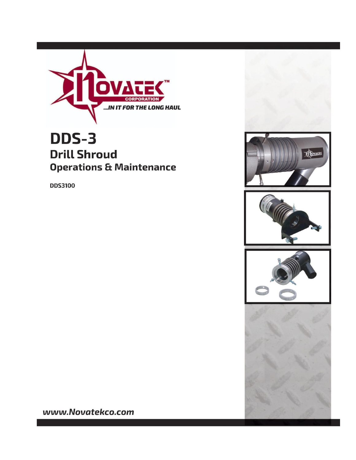

# DDS-3 **Drill Shroud Operations & Maintenance**

**DDS3100** 









www.Novatekco.com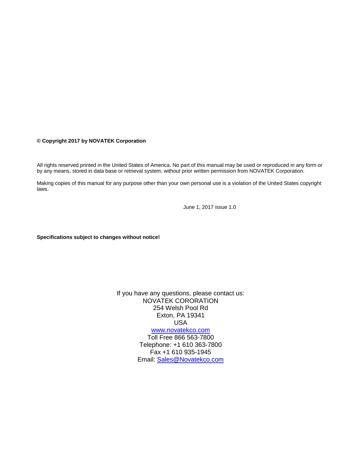#### **© Copyright 2017 by NOVATEK Corporation**

All rights reserved printed in the United States of America. No part of this manual may be used or reproduced in any form or by any means, stored in data base or retrieval system, without prior written permission from NOVATEK Corporation.

Making copies of this manual for any purpose other than your own personal use is a violation of the United States copyright laws.

June 1, 2017 issue 1.0

**Specifications subject to changes without notice!**

If you have any questions, please contact us: NOVATEK CORORATION 254 Welsh Pool Rd Exton, PA 19341 USA [www.novatekco.com](http://www.novatekco.com/) Toll Free 866 563-7800 Telephone: +1 610 363-7800

Fax +1 610 935-1945 Email: [Sales@Novatekco.com](mailto:Sales@Novatekco.com)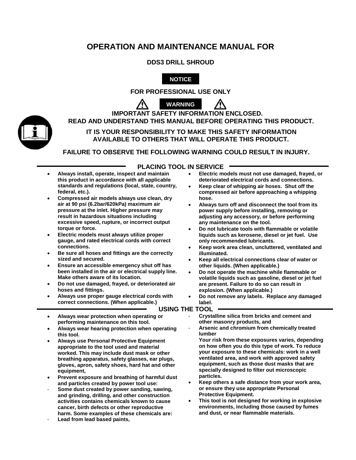## **OPERATION AND MAINTENANCE MANUAL FOR**

#### **DDS3 DRILL SHROUD**



**FOR PROFESSIONAL USE ONLY** 



**IMPORTANT SAFETY INFORMATION ENCLOSED. READ AND UNDERSTAND THIS MANUAL BEFORE OPERATING THIS PRODUCT.**



**FAILURE TO OBSERVE THE FOLLOWING WARNING COULD RESULT IN INJURY.**

#### **PLACING TOOL IN SERVICE**

- **Always install, operate, inspect and maintain this product in accordance with all applicable standards and regulations (local, state, country, federal, etc.).**
- **Compressed air models always use clean, dry air at 90 psi (6.2bar/620kPa) maximum air pressure at the inlet. Higher pressure may result in hazardous situations including excessive speed, rupture, or incorrect output torque or force.**
- **Electric models must always utilize proper gauge, and rated electrical cords with correct connections.**
- **Be sure all hoses and fittings are the correctly sized and secured.**
- **Ensure an accessible emergency shut off has been installed in the air or electrical supply line. Make others aware of its location.**
- **Do not use damaged, frayed, or deteriorated air hoses and fittings.**
- **Always use proper gauge electrical cords with correct connections. (When applicable.)**
- **Always wear protection when operating or performing maintenance on this tool.**
- **Always wear hearing protection when operating this tool.**
- **Always use Personal Protective Equipment appropriate to the tool used and material worked. This may include dust mask or other breathing apparatus, safety glasses, ear plugs, gloves, apron, safety shoes, hard hat and other equipment,**
- **Prevent exposure and breathing of harmful dust and particles created by power tool use:**
- **Some dust created by power sanding, sawing, and grinding, drilling, and other construction activities contains chemicals known to cause cancer, birth defects or other reproductive harm. Some examples of these chemicals are:**
- **Lead from lead based paints,**
- **Electric models must not use damaged, frayed, or deteriorated electrical cords and connections.**
- **Keep clear of whipping air hoses. Shut off the compressed air before approaching a whipping hose.**
- **Always turn off and disconnect the tool from its power supply before installing, removing or adjusting any accessory, or before performing any maintenance on the tool.**
- **Do not lubricate tools with flammable or volatile liquids such as kerosene, diesel or jet fuel. Use only recommended lubricants.**
- **Keep work area clean, uncluttered, ventilated and illuminated.**
- **Keep all electrical connections clear of water or other liquids. (When applicable.)**
- **Do not operate the machine while flammable or volatile liquids such as gasoline, diesel or jet fuel are present. Failure to do so can result in explosion. (When applicable.)**
- **Do not remove any labels. Replace any damaged label.**

#### **USING THE TOOL**

- **Crystalline silica from bricks and cement and other masonry products, and**
- **Arsenic and chromium from chemically treated lumber**

**Your risk from these exposures varies, depending on how often you do this type of work. To reduce your exposure to these chemicals: work in a well ventilated area, and work with approved safety equipment, such as those dust masks that are specially designed to filter out microscopic particles.**

- **Keep others a safe distance from your work area, or ensure they use appropriate Personal Protective Equipment.**
- **This tool is not designed for working in explosive environments, including those caused by fumes and dust, or near flammable materials.**

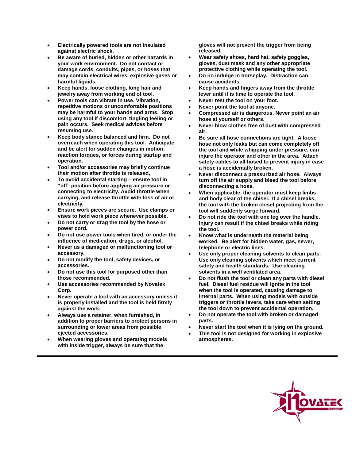- **Electrically powered tools are not insulated against electric shock.**
- **Be aware of buried, hidden or other hazards in your work environment. Do not contact or damage cords, conduits, pipes, or hoses that may contain electrical wires, explosive gases or harmful liquids.**
- **Keep hands, loose clothing, long hair and jewelry away from working end of tool.**
- **Power tools can vibrate in use. Vibration, repetitive motions or uncomfortable positions may be harmful to your hands and arms. Stop using any tool if discomfort, tingling feeling or pain occurs. Seek medical advices before resuming use.**
- **Keep body stance balanced and firm. Do not overreach when operating this tool. Anticipate and be alert for sudden changes in motion, reaction torques, or forces during startup and operation.**
- **Tool and/or accessories may briefly continue their motion after throttle is released,**
- **To avoid accidental starting – ensure tool in "off" position before applying air pressure or connecting to electricity. Avoid throttle when carrying, and release throttle with loss of air or electricity.**
- **Ensure work pieces are secure. Use clamps or vises to hold work piece whenever possible.**
- **Do not carry or drag the tool by the hose or power cord.**
- **Do not use power tools when tired, or under the influence of medication, drugs, or alcohol.**
- **Never us a damaged or malfunctioning tool or accessory,**
- **Do not modify the tool, safety devices, or accessories.**
- **Do not use this tool for purposed other than those recommended.**
- **Use accessories recommended by Novatek Corp.**
- **Never operate a tool with an accessory unless it is properly installed and the tool is held firmly against the work,**
- **Always use a retainer, when furnished, in addition to proper barriers to protect persons in surrounding or lower areas from possible ejected accessories.**
- **When wearing gloves and operating models with inside trigger, always be sure that the**

**gloves will not prevent the trigger from being released.**

- **Wear safety shoes, hard hat, safety goggles, gloves, dust mask and any other appropriate protective clothing while operating the tool.**
- **Do no indulge in horseplay. Distraction can cause accidents.**
- **Keep hands and fingers away from the throttle lever until it is time to operate the tool.**
- **Never rest the tool on your foot.**
- **Never point the tool at anyone.**
- **Compressed air is dangerous. Never point an air hose at yourself or others.**
- **Never blow clothes free of dust with compressed air.**
- **Be sure all hose connections are tight. A loose hose not only leaks but can come completely off the tool and while whipping under pressure, can injure the operator and other in the area. Attach safety cables to all hosed to prevent injury in case a hose is accidentally broken.**
- **Never disconnect a pressurized air hose. Always turn off the air supply and bleed the tool before disconnecting a hose.**
- **When applicable, the operator must keep limbs and body clear of the chisel. If a chisel breaks, the tool with the broken chisel projecting from the tool will suddenly surge forward.**
- **Do not ride the tool with one leg over the handle. Injury can result if the chisel breaks while riding the tool.**
- **Know what is underneath the material being worked. Be alert for hidden water, gas, sewer, telephone or electric lines.**
- **Use only proper cleaning solvents to clean parts. Use only cleaning solvents which meet current safety and health standards. Use cleaning solvents in a well ventilated area.**
- **Do not flush the tool or clean any parts with diesel fuel. Diesel fuel residue will ignite in the tool when the tool is operated, causing damage to internal parts. When using models with outside triggers or throttle levers, take care when setting the tool down to prevent accidental operation.**
- **Do not operate the tool with broken or damaged parts.**
- **Never start the tool when it is lying on the ground.**
- **This tool is not designed for working in explosive atmospheres.**

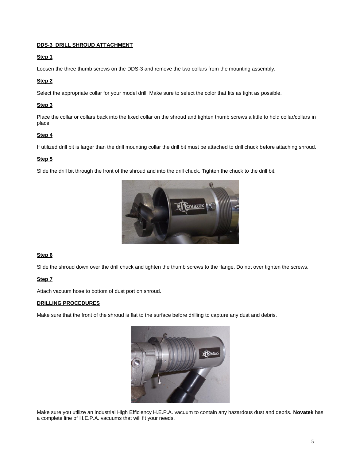#### **DDS-3 DRILL SHROUD ATTACHMENT**

#### **Step 1**

Loosen the three thumb screws on the DDS-3 and remove the two collars from the mounting assembly.

#### **Step 2**

Select the appropriate collar for your model drill. Make sure to select the color that fits as tight as possible.

#### **Step 3**

Place the collar or collars back into the fixed collar on the shroud and tighten thumb screws a little to hold collar/collars in place.

#### **Step 4**

If utilized drill bit is larger than the drill mounting collar the drill bit must be attached to drill chuck before attaching shroud.

#### **Step 5**

Slide the drill bit through the front of the shroud and into the drill chuck. Tighten the chuck to the drill bit.



#### **Step 6**

Slide the shroud down over the drill chuck and tighten the thumb screws to the flange. Do not over tighten the screws.

#### **Step 7**

Attach vacuum hose to bottom of dust port on shroud.

#### **DRILLING PROCEDURES**

Make sure that the front of the shroud is flat to the surface before drilling to capture any dust and debris.



Make sure you utilize an industrial High Efficiency H.E.P.A. vacuum to contain any hazardous dust and debris. **Novatek** has a complete line of H.E.P.A. vacuums that will fit your needs.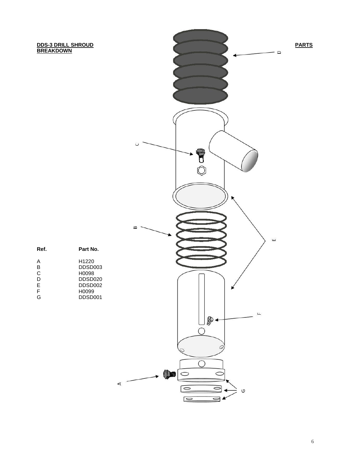## **BREAKDOWN**



| Ref. | Part No.            |
|------|---------------------|
| А    | H <sub>1220</sub>   |
| B    | DDSD003             |
| C    | H0098               |
| D    | DDSD <sub>020</sub> |
| E    | DDSD <sub>002</sub> |
| F    | H0099               |
| G    | DDSD <sub>001</sub> |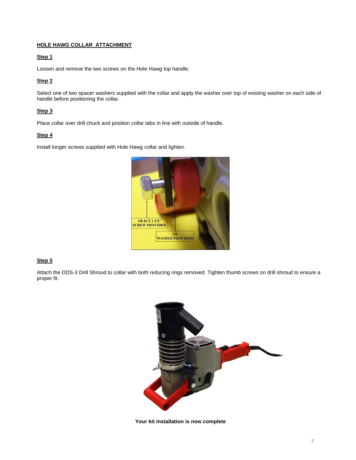#### **HOLE HAWG COLLAR ATTACHMENT**

#### **Step 1**

Loosen and remove the two screws on the Hole Hawg top handle.

#### **Step 2**

Select one of two spacer washers supplied with the collar and apply the washer over top of existing washer on each side of handle before positioning the collar.

#### **Step 3**

Place collar over drill chuck and position collar tabs in line with outside of handle.

#### **Step 4**

Install longer screws supplied with Hole Hawg collar and lighten.



#### **Step 5**

Attach the DDS-3 Drill Shroud to collar with both reducing rings removed. Tighten thumb screws on drill shroud to ensure a proper fit.



**Your kit installation is now complete**